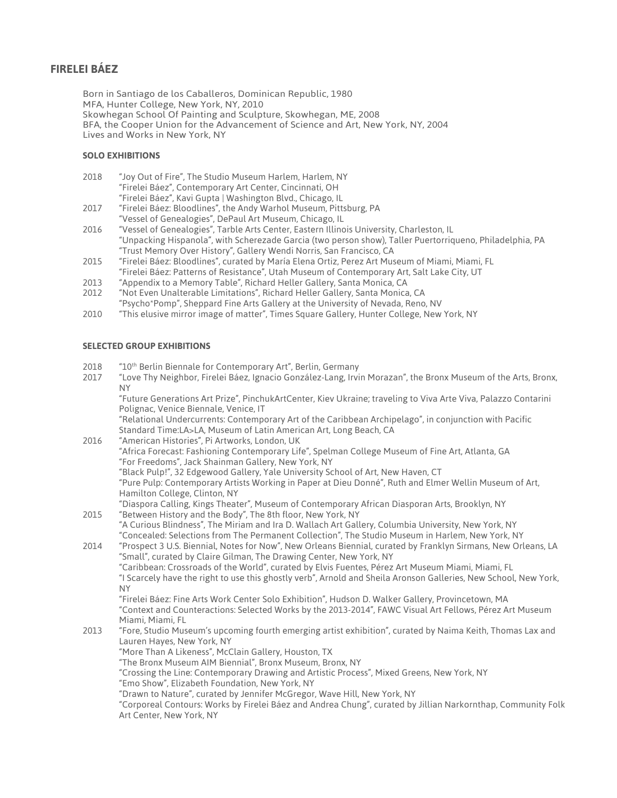# **FIRELEI BÁEZ**

Born in Santiago de los Caballeros, Dominican Republic, 1980 MFA, Hunter College, New York, NY, 2010 Skowhegan School Of Painting and Sculpture, Skowhegan, ME, 2008 BFA, the Cooper Union for the Advancement of Science and Art, New York, NY, 2004 Lives and Works in New York, NY

## **SOLO EXHIBITIONS**

| 2018 | "Joy Out of Fire", The Studio Museum Harlem, Harlem, NY    |
|------|------------------------------------------------------------|
|      | "Firelei Báez", Contemporary Art Center, Cincinnati, OH    |
|      | "Firelei Báez", Kavi Gupta   Washington Blvd., Chicago, IL |
| 2017 | "Eirolai Páaz: Plaadlines" the Andu Warbel Museum Dittsbur |

- 2017 "Firelei Báez: Bloodlines", the Andy Warhol Museum, Pittsburg, PA "Vessel of Genealogies", DePaul Art Museum, Chicago, IL
- 2016 "Vessel of Genealogies", Tarble Arts Center, Eastern Illinois University, Charleston, IL "Unpacking Hispanola", with Scherezade Garcia (two person show), Taller Puertorriqueno, Philadelphia, PA "Trust Memory Over History", Gallery Wendi Norris, San Francisco, CA
- 2015 "Firelei Báez: Bloodlines", curated by María Elena Ortiz, Perez Art Museum of Miami, Miami, FL "Firelei Báez: Patterns of Resistance", Utah Museum of Contemporary Art, Salt Lake City, UT
- 2013 "Appendix to a Memory Table", Richard Heller Gallery, Santa Monica, CA
- 2012 "Not Even Unalterable Limitations", Richard Heller Gallery, Santa Monica, CA "Psycho\*Pomp", Sheppard Fine Arts Gallery at the University of Nevada, Reno, NV
- 2010 "This elusive mirror image of matter", Times Square Gallery, Hunter College, New York, NY

#### **SELECTED GROUP EXHIBITIONS**

- 2018 "10<sup>th</sup> Berlin Biennale for Contemporary Art", Berlin, Germany
- 2017 "Love Thy Neighbor, Firelei Báez, Ignacio González-Lang, Irvin Morazan", the Bronx Museum of the Arts, Bronx, NY

"Future Generations Art Prize", PinchukArtCenter, Kiev Ukraine; traveling to Viva Arte Viva, Palazzo Contarini Polignac, Venice Biennale, Venice, IT

"Relational Undercurrents: Contemporary Art of the Caribbean Archipelago", in conjunction with Pacific Standard Time:LA>LA, Museum of Latin American Art, Long Beach, CA

- 2016 "American Histories", Pi Artworks, London, UK "Africa Forecast: Fashioning Contemporary Life", Spelman College Museum of Fine Art, Atlanta, GA "For Freedoms", Jack Shainman Gallery, New York, NY "Black Pulp!", 32 Edgewood Gallery, Yale University School of Art, New Haven, CT "Pure Pulp: Contemporary Artists Working in Paper at Dieu Donné", Ruth and Elmer Wellin Museum of Art, Hamilton College, Clinton, NY
- "Diaspora Calling, Kings Theater", Museum of Contemporary African Diasporan Arts, Brooklyn, NY 2015 "Between History and the Body", The 8th floor, New York, NY "A Curious Blindness", The Miriam and Ira D. Wallach Art Gallery, Columbia University, New York, NY
	- "Concealed: Selections from The Permanent Collection", The Studio Museum in Harlem, New York, NY
- 2014 "Prospect 3 U.S. Biennial, Notes for Now", New Orleans Biennial, curated by Franklyn Sirmans, New Orleans, LA "Small", curated by Claire Gilman, The Drawing Center, New York, NY "Caribbean: Crossroads of the World", curated by Elvis Fuentes, Pérez Art Museum Miami, Miami, FL

"I Scarcely have the right to use this ghostly verb", Arnold and Sheila Aronson Galleries, New School, New York, NY

"Firelei Báez: Fine Arts Work Center Solo Exhibition", Hudson D. Walker Gallery, Provincetown, MA "Context and Counteractions: Selected Works by the 2013-2014", FAWC Visual Art Fellows, Pérez Art Museum Miami, Miami, FL

- 2013 "Fore, Studio Museum's upcoming fourth emerging artist exhibition", curated by Naima Keith, Thomas Lax and Lauren Hayes, New York, NY
	- "More Than A Likeness", McClain Gallery, Houston, TX

"The Bronx Museum AIM Biennial", Bronx Museum, Bronx, NY

"Crossing the Line: Contemporary Drawing and Artistic Process", Mixed Greens, New York, NY

"Emo Show", Elizabeth Foundation, New York, NY

"Drawn to Nature", curated by Jennifer McGregor, Wave Hill, New York, NY

"Corporeal Contours: Works by Firelei Báez and Andrea Chung", curated by Jillian Narkornthap, Community Folk Art Center, New York, NY